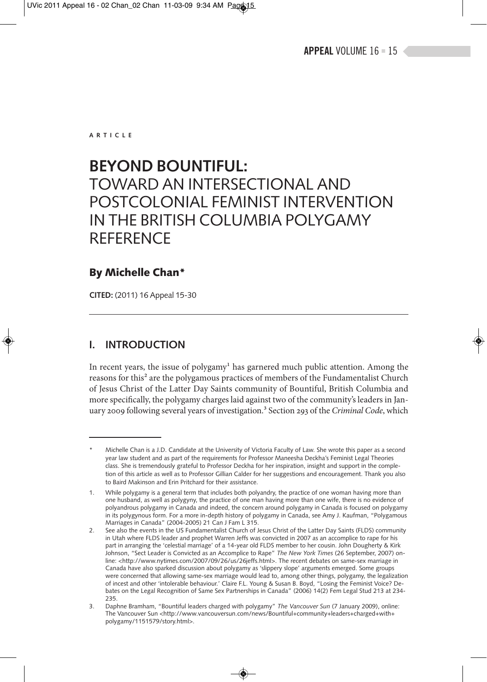**ARTICLE**

# **BEYOND BOUNTIFUL:**  TOWARD AN INTERSECTIONAL AND POSTCOLONIAL FEMINIST INTERVENTION IN THE BRITISH COLUMBIA POLYGAMY **REFERENCE**

# **By Michelle Chan\***

**CITED:** (2011) 16 Appeal 15-30

# **I. INTRODUCTION**

In recent years, the issue of polygamy<sup>1</sup> has garnered much public attention. Among the reasons for this<sup>2</sup> are the polygamous practices of members of the Fundamentalist Church of Jesus Christ of the Latter Day Saints community of Bountiful, British Columbia and more specifically, the polygamy charges laid against two of the community's leaders in January 2009 following several years of investigation.<sup>3</sup> Section 293 of the *Criminal Code*, which

Michelle Chan is a J.D. Candidate at the University of Victoria Faculty of Law. She wrote this paper as a second year law student and as part of the requirements for Professor Maneesha Deckha's Feminist Legal Theories class. She is tremendously grateful to Professor Deckha for her inspiration, insight and support in the completion of this article as well as to Professor Gillian Calder for her suggestions and encouragement. Thank you also to Baird Makinson and Erin Pritchard for their assistance.

<sup>1.</sup> While polygamy is a general term that includes both polyandry, the practice of one woman having more than one husband, as well as polygyny, the practice of one man having more than one wife, there is no evidence of polyandrous polygamy in Canada and indeed, the concern around polygamy in Canada is focused on polygamy in its polygynous form. For a more in-depth history of polygamy in Canada, see Amy J. Kaufman, "Polygamous Marriages in Canada" (2004-2005) 21 Can J Fam L 315.

<sup>2.</sup> See also the events in the US Fundamentalist Church of Jesus Christ of the Latter Day Saints (FLDS) community in Utah where FLDS leader and prophet Warren Jeffs was convicted in 2007 as an accomplice to rape for his part in arranging the 'celestial marriage' of a 14-year old FLDS member to her cousin. John Dougherty & Kirk Johnson, "Sect Leader is Convicted as an Accomplice to Rape" *The New York Times* (26 September, 2007) online: <http://www.nytimes.com/2007/09/26/us/26jeffs.html>. The recent debates on same-sex marriage in Canada have also sparked discussion about polygamy as 'slippery slope' arguments emerged. Some groups were concerned that allowing same-sex marriage would lead to, among other things, polygamy, the legalization of incest and other 'intolerable behaviour.' Claire F.L. Young & Susan B. Boyd, "Losing the Feminist Voice? Debates on the Legal Recognition of Same Sex Partnerships in Canada" (2006) 14(2) Fem Legal Stud 213 at 234- 235.

<sup>3.</sup> Daphne Bramham, "Bountiful leaders charged with polygamy" *The Vancouver Sun* (7 January 2009), online: The Vancouver Sun <http://www.vancouversun.com/news/Bountiful+community+leaders+charged+with+ polygamy/1151579/story.html>.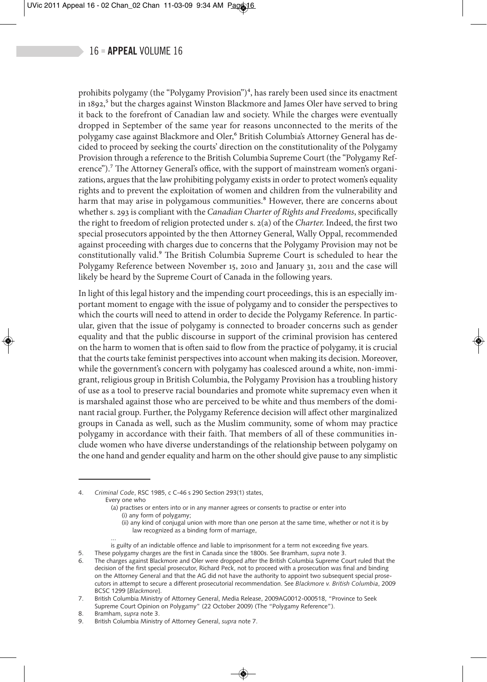prohibits polygamy (the "Polygamy Provision") $<sup>4</sup>$ , has rarely been used since its enactment</sup> in 1892,<sup>5</sup> but the charges against Winston Blackmore and James Oler have served to bring it back to the forefront of Canadian law and society. While the charges were eventually dropped in September of the same year for reasons unconnected to the merits of the polygamy case against Blackmore and Oler,<sup>6</sup> British Columbia's Attorney General has decided to proceed by seeking the courts' direction on the constitutionality of the Polygamy Provision through a reference to the British Columbia Supreme Court (the "Polygamy Reference").7 The Attorney General's office, with the support of mainstream women's organizations, argues that the law prohibiting polygamy exists in order to protect women's equality rights and to prevent the exploitation of women and children from the vulnerability and harm that may arise in polygamous communities.<sup>8</sup> However, there are concerns about whether s. 293 is compliant with the *Canadian Charter of Rights and Freedoms*, specifically the right to freedom of religion protected under s. 2(a) of the *Charter.* Indeed, the first two special prosecutors appointed by the then Attorney General, Wally Oppal, recommended against proceeding with charges due to concerns that the Polygamy Provision may not be constitutionally valid.9 The British Columbia Supreme Court is scheduled to hear the Polygamy Reference between November 15, 2010 and January 31, 2011 and the case will likely be heard by the Supreme Court of Canada in the following years.

In light of this legal history and the impending court proceedings, this is an especially important moment to engage with the issue of polygamy and to consider the perspectives to which the courts will need to attend in order to decide the Polygamy Reference. In particular, given that the issue of polygamy is connected to broader concerns such as gender equality and that the public discourse in support of the criminal provision has centered on the harm to women that is often said to flow from the practice of polygamy, it is crucial that the courts take feminist perspectives into account when making its decision. Moreover, while the government's concern with polygamy has coalesced around a white, non-immigrant, religious group in British Columbia, the Polygamy Provision has a troubling history of use as a tool to preserve racial boundaries and promote white supremacy even when it is marshaled against those who are perceived to be white and thus members of the dominant racial group. Further, the Polygamy Reference decision will affect other marginalized groups in Canada as well, such as the Muslim community, some of whom may practice polygamy in accordance with their faith. That members of all of these communities include women who have diverse understandings of the relationship between polygamy on the one hand and gender equality and harm on the other should give pause to any simplistic

4. *Criminal Code*, RSC 1985, c C-46 s 290 Section 293(1) states, Every one who

- (a) practises or enters into or in any manner agrees or consents to practise or enter into (i) any form of polygamy;
	- (ii) any kind of conjugal union with more than one person at the same time, whether or not it is by law recognized as a binding form of marriage,
- ... is guilty of an indictable offence and liable to imprisonment for a term not exceeding five years.
- 5. These polygamy charges are the first in Canada since the 1800s. See Bramham, *supra* note 3.
- The charges against Blackmore and Oler were dropped after the British Columbia Supreme Court ruled that the decision of the first special prosecutor, Richard Peck, not to proceed with a prosecution was final and binding on the Attorney General and that the AG did not have the authority to appoint two subsequent special prosecutors in attempt to secure a different prosecutorial recommendation. See *Blackmore v. British Columbia*, 2009 BCSC 1299 [*Blackmore*].

7. British Columbia Ministry of Attorney General, Media Release, 2009AG0012-000518, "Province to Seek Supreme Court Opinion on Polygamy" (22 October 2009) (The "Polygamy Reference").

- 8. Bramham, *supra* note 3.
- 9. British Columbia Ministry of Attorney General, *supra* note 7.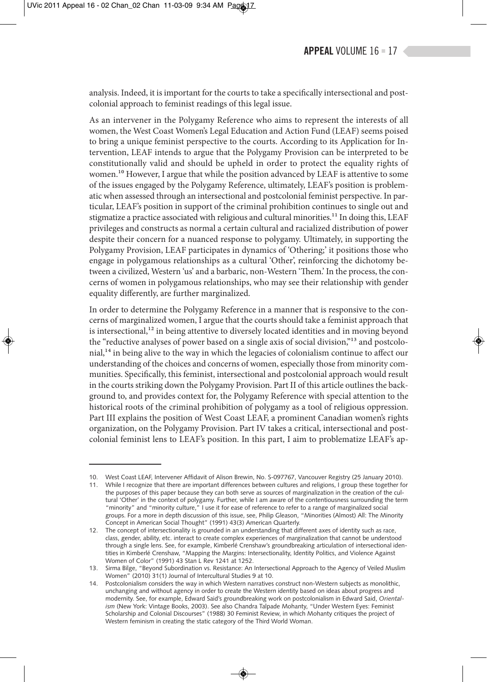analysis. Indeed, it is important for the courts to take a specifically intersectional and postcolonial approach to feminist readings of this legal issue.

As an intervener in the Polygamy Reference who aims to represent the interests of all women, the West Coast Women's Legal Education and Action Fund (LEAF) seems poised to bring a unique feminist perspective to the courts. According to its Application for Intervention, LEAF intends to argue that the Polygamy Provision can be interpreted to be constitutionally valid and should be upheld in order to protect the equality rights of women.<sup>10</sup> However, I argue that while the position advanced by LEAF is attentive to some of the issues engaged by the Polygamy Reference, ultimately, LEAF's position is problematic when assessed through an intersectional and postcolonial feminist perspective. In particular, LEAF's position in support of the criminal prohibition continues to single out and stigmatize a practice associated with religious and cultural minorities.11 In doing this, LEAF privileges and constructs as normal a certain cultural and racialized distribution of power despite their concern for a nuanced response to polygamy. Ultimately, in supporting the Polygamy Provision, LEAF participates in dynamics of 'Othering;' it positions those who engage in polygamous relationships as a cultural 'Other', reinforcing the dichotomy between a civilized, Western 'us' and a barbaric, non-Western 'Them.' In the process, the concerns of women in polygamous relationships, who may see their relationship with gender equality differently, are further marginalized.

In order to determine the Polygamy Reference in a manner that is responsive to the concerns of marginalized women, I argue that the courts should take a feminist approach that is intersectional, $1<sup>2</sup>$  in being attentive to diversely located identities and in moving beyond the "reductive analyses of power based on a single axis of social division,"<sup>13</sup> and postcolonial,<sup>14</sup> in being alive to the way in which the legacies of colonialism continue to affect our understanding of the choices and concerns of women, especially those from minority communities. Specifically, this feminist, intersectional and postcolonial approach would result in the courts striking down the Polygamy Provision. Part II of this article outlines the background to, and provides context for, the Polygamy Reference with special attention to the historical roots of the criminal prohibition of polygamy as a tool of religious oppression. Part III explains the position of West Coast LEAF, a prominent Canadian women's rights organization, on the Polygamy Provision. Part IV takes a critical, intersectional and postcolonial feminist lens to LEAF's position. In this part, I aim to problematize LEAF's ap-

<sup>10.</sup> West Coast LEAF, Intervener Affidavit of Alison Brewin, No. S-097767, Vancouver Registry (25 January 2010).

<sup>11.</sup> While I recognize that there are important differences between cultures and religions, I group these together for the purposes of this paper because they can both serve as sources of marginalization in the creation of the cultural 'Other' in the context of polygamy. Further, while I am aware of the contentiousness surrounding the term "minority" and "minority culture," I use it for ease of reference to refer to a range of marginalized social groups. For a more in depth discussion of this issue, see, Philip Gleason, "Minorities (Almost) All: The Minority Concept in American Social Thought" (1991) 43(3) American Quarterly.

<sup>12.</sup> The concept of intersectionality is grounded in an understanding that different axes of identity such as race, class, gender, ability, etc. interact to create complex experiences of marginalization that cannot be understood through a single lens. See, for example, Kimberlé Crenshaw's groundbreaking articulation of intersectional identities in Kimberlé Crenshaw, "Mapping the Margins: Intersectionality, Identity Politics, and Violence Against Women of Color" (1991) 43 Stan L Rev 1241 at 1252.

<sup>13.</sup> Sirma Bilge, "Beyond Subordination vs. Resistance: An Intersectional Approach to the Agency of Veiled Muslim Women" (2010) 31(1) Journal of Intercultural Studies 9 at 10.

<sup>14.</sup> Postcolonialism considers the way in which Western narratives construct non-Western subjects as monolithic, unchanging and without agency in order to create the Western identity based on ideas about progress and modernity. See, for example, Edward Said's groundbreaking work on postcolonialism in Edward Said, *Orientalism* (New York: Vintage Books, 2003). See also Chandra Talpade Mohanty, "Under Western Eyes: Feminist Scholarship and Colonial Discourses" (1988) 30 Feminist Review, in which Mohanty critiques the project of Western feminism in creating the static category of the Third World Woman.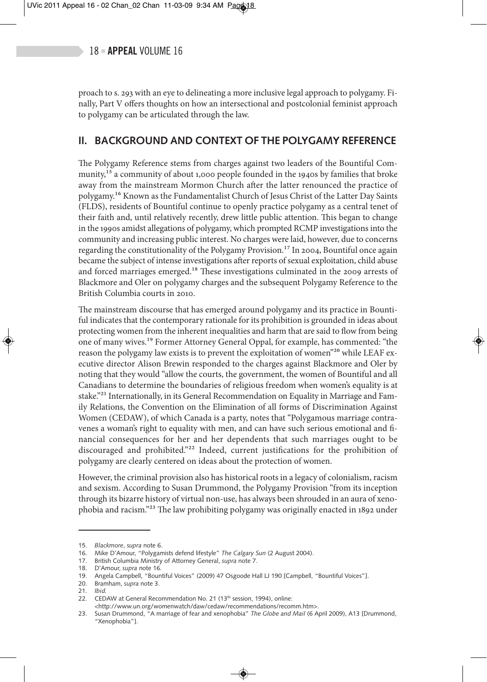proach to s. 293 with an eye to delineating a more inclusive legal approach to polygamy. Finally, Part V offers thoughts on how an intersectional and postcolonial feminist approach to polygamy can be articulated through the law.

# **II. BACKGROUND AND CONTEXT OF THE POLYGAMY REFERENCE**

The Polygamy Reference stems from charges against two leaders of the Bountiful Community,<sup>15</sup> a community of about 1,000 people founded in the 1940s by families that broke away from the mainstream Mormon Church after the latter renounced the practice of polygamy.16 Known as the Fundamentalist Church of Jesus Christ of the Latter Day Saints (FLDS), residents of Bountiful continue to openly practice polygamy as a central tenet of their faith and, until relatively recently, drew little public attention. This began to change in the 1990s amidst allegations of polygamy, which prompted RCMP investigations into the community and increasing public interest. No charges were laid, however, due to concerns regarding the constitutionality of the Polygamy Provision.<sup>17</sup> In 2004, Bountiful once again became the subject of intense investigations after reports of sexual exploitation, child abuse and forced marriages emerged.<sup>18</sup> These investigations culminated in the 2009 arrests of Blackmore and Oler on polygamy charges and the subsequent Polygamy Reference to the British Columbia courts in 2010.

The mainstream discourse that has emerged around polygamy and its practice in Bountiful indicates that the contemporary rationale for its prohibition is grounded in ideas about protecting women from the inherent inequalities and harm that are said to flow from being one of many wives.19 Former Attorney General Oppal, for example, has commented: "the reason the polygamy law exists is to prevent the exploitation of women"<sup>20</sup> while LEAF executive director Alison Brewin responded to the charges against Blackmore and Oler by noting that they would "allow the courts, the government, the women of Bountiful and all Canadians to determine the boundaries of religious freedom when women's equality is at stake."<sup>21</sup> Internationally, in its General Recommendation on Equality in Marriage and Family Relations, the Convention on the Elimination of all forms of Discrimination Against Women (CEDAW), of which Canada is a party, notes that "Polygamous marriage contravenes a woman's right to equality with men, and can have such serious emotional and financial consequences for her and her dependents that such marriages ought to be discouraged and prohibited."<sup>22</sup> Indeed, current justifications for the prohibition of polygamy are clearly centered on ideas about the protection of women.

However, the criminal provision also has historical roots in a legacy of colonialism, racism and sexism. According to Susan Drummond, the Polygamy Provision "from its inception through its bizarre history of virtual non-use, has always been shrouded in an aura of xenophobia and racism."23 The law prohibiting polygamy was originally enacted in 1892 under

<sup>15.</sup> *Blackmore*, *supra* note 6.

<sup>16.</sup> Mike D'Amour, "Polygamists defend lifestyle" *The Calgary Sun* (2 August 2004).

<sup>17.</sup> British Columbia Ministry of Attorney General, *supra* note 7.

<sup>18.</sup> D'Amour, *supra* note 16.

<sup>19.</sup> Angela Campbell, "Bountiful Voices" (2009) 47 Osgoode Hall LJ 190 [Campbell, "Bountiful Voices"].

<sup>20.</sup> Bramham, *supra* note 3.

<sup>21.</sup> *Ibid.*

<sup>22.</sup> CEDAW at General Recommendation No. 21 (13<sup>th</sup> session, 1994), online:

<sup>&</sup>lt;http://www.un.org/womenwatch/daw/cedaw/recommendations/recomm.htm>.

<sup>23.</sup> Susan Drummond, "A marriage of fear and xenophobia" *The Globe and Mail* (6 April 2009), A13 [Drummond, "Xenophobia"].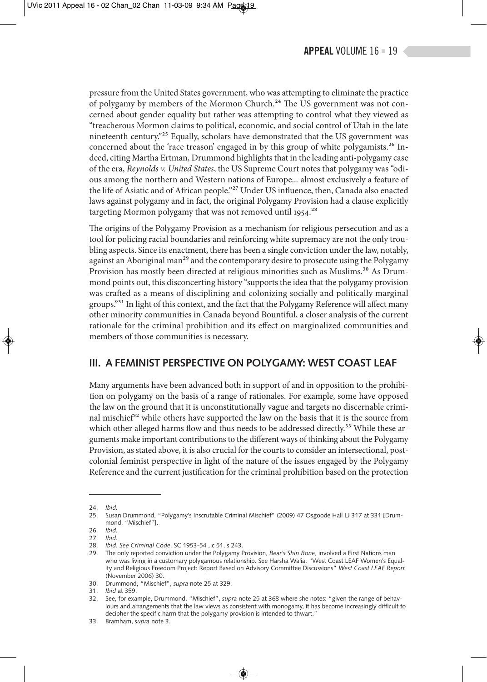pressure from the United States government, who was attempting to eliminate the practice of polygamy by members of the Mormon Church.<sup>24</sup> The US government was not concerned about gender equality but rather was attempting to control what they viewed as "treacherous Mormon claims to political, economic, and social control of Utah in the late nineteenth century."25 Equally, scholars have demonstrated that the US government was concerned about the 'race treason' engaged in by this group of white polygamists.<sup>26</sup> Indeed, citing Martha Ertman, Drummond highlights that in the leading anti-polygamy case of the era, *Reynolds v. United States*, the US Supreme Court notes that polygamy was "odious among the northern and Western nations of Europe... almost exclusively a feature of the life of Asiatic and of African people."27 Under US influence, then, Canada also enacted laws against polygamy and in fact, the original Polygamy Provision had a clause explicitly targeting Mormon polygamy that was not removed until 1954.<sup>28</sup>

The origins of the Polygamy Provision as a mechanism for religious persecution and as a tool for policing racial boundaries and reinforcing white supremacy are not the only troubling aspects. Since its enactment, there has been a single conviction under the law, notably, against an Aboriginal man<sup>29</sup> and the contemporary desire to prosecute using the Polygamy Provision has mostly been directed at religious minorities such as Muslims.<sup>30</sup> As Drummond points out, this disconcerting history "supports the idea that the polygamy provision was crafted as a means of disciplining and colonizing socially and politically marginal groups."31 In light of this context, and the fact that the Polygamy Reference will affect many other minority communities in Canada beyond Bountiful, a closer analysis of the current rationale for the criminal prohibition and its effect on marginalized communities and members of those communities is necessary.

# **III. A FEMINIST PERSPECTIVE ON POLYGAMY: WEST COAST LEAF**

Many arguments have been advanced both in support of and in opposition to the prohibition on polygamy on the basis of a range of rationales. For example, some have opposed the law on the ground that it is unconstitutionally vague and targets no discernable criminal mischief<sup>32</sup> while others have supported the law on the basis that it is the source from which other alleged harms flow and thus needs to be addressed directly.<sup>33</sup> While these arguments make important contributions to the different ways of thinking about the Polygamy Provision, as stated above, it is also crucial for the courts to consider an intersectional, postcolonial feminist perspective in light of the nature of the issues engaged by the Polygamy Reference and the current justification for the criminal prohibition based on the protection

<sup>24.</sup> *Ibid.*

<sup>25.</sup> Susan Drummond, "Polygamy's Inscrutable Criminal Mischief" (2009) 47 Osgoode Hall LJ 317 at 331 [Drummond, "Mischief"].

<sup>26.</sup> *Ibid.*

<sup>27.</sup> *Ibid.*

<sup>28.</sup> *Ibid. See Criminal Code*, SC 1953-54 , c 51, s 243.

<sup>29.</sup> The only reported conviction under the Polygamy Provision, *Bear's Shin Bone*, involved a First Nations man who was living in a customary polygamous relationship. See Harsha Walia, "West Coast LEAF Women's Equality and Religious Freedom Project: Report Based on Advisory Committee Discussions" *West Coast LEAF Report* (November 2006) 30.

<sup>30.</sup> Drummond, "Mischief", *supra* note 25 at 329.

<sup>31.</sup> *Ibid* at 359.

<sup>32.</sup> See, for example, Drummond, "Mischief", *supra* note 25 at 368 where she notes: "given the range of behaviours and arrangements that the law views as consistent with monogamy, it has become increasingly difficult to decipher the specific harm that the polygamy provision is intended to thwart."

<sup>33.</sup> Bramham, *supra* note 3.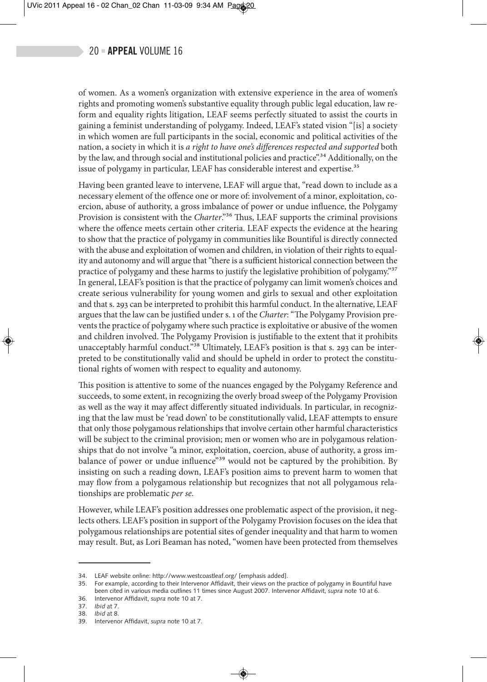of women. As a women's organization with extensive experience in the area of women's rights and promoting women's substantive equality through public legal education, law reform and equality rights litigation, LEAF seems perfectly situated to assist the courts in gaining a feminist understanding of polygamy. Indeed, LEAF's stated vision "[is] a society in which women are full participants in the social, economic and political activities of the nation, a society in which it is *a right to have one's differences respected and supported* both by the law, and through social and institutional policies and practice".<sup>34</sup> Additionally, on the issue of polygamy in particular, LEAF has considerable interest and expertise.<sup>35</sup>

Having been granted leave to intervene, LEAF will argue that, "read down to include as a necessary element of the offence one or more of: involvement of a minor, exploitation, coercion, abuse of authority, a gross imbalance of power or undue influence, the Polygamy Provision is consistent with the *Charter*."<sup>36</sup> Thus, LEAF supports the criminal provisions where the offence meets certain other criteria. LEAF expects the evidence at the hearing to show that the practice of polygamy in communities like Bountiful is directly connected with the abuse and exploitation of women and children, in violation of their rights to equality and autonomy and will argue that "there is a sufficient historical connection between the practice of polygamy and these harms to justify the legislative prohibition of polygamy."<sup>37</sup> In general, LEAF's position is that the practice of polygamy can limit women's choices and create serious vulnerability for young women and girls to sexual and other exploitation and that s. 293 can be interpreted to prohibit this harmful conduct. In the alternative, LEAF argues that the law can be justified under s. 1 of the *Charter*: "The Polygamy Provision prevents the practice of polygamy where such practice is exploitative or abusive of the women and children involved. The Polygamy Provision is justifiable to the extent that it prohibits unacceptably harmful conduct."<sup>38</sup> Ultimately, LEAF's position is that s. 293 can be interpreted to be constitutionally valid and should be upheld in order to protect the constitutional rights of women with respect to equality and autonomy.

This position is attentive to some of the nuances engaged by the Polygamy Reference and succeeds, to some extent, in recognizing the overly broad sweep of the Polygamy Provision as well as the way it may affect differently situated individuals. In particular, in recognizing that the law must be 'read down' to be constitutionally valid, LEAF attempts to ensure that only those polygamous relationships that involve certain other harmful characteristics will be subject to the criminal provision; men or women who are in polygamous relationships that do not involve "a minor, exploitation, coercion, abuse of authority, a gross imbalance of power or undue influence"<sup>39</sup> would not be captured by the prohibition. By insisting on such a reading down, LEAF's position aims to prevent harm to women that may flow from a polygamous relationship but recognizes that not all polygamous relationships are problematic *per se*.

However, while LEAF's position addresses one problematic aspect of the provision, it neglects others. LEAF's position in support of the Polygamy Provision focuses on the idea that polygamous relationships are potential sites of gender inequality and that harm to women may result. But, as Lori Beaman has noted, "women have been protected from themselves

<sup>34.</sup> LEAF website online: http://www.westcoastleaf.org/ [emphasis added].

<sup>35.</sup> For example, according to their Intervenor Affidavit, their views on the practice of polygamy in Bountiful have been cited in various media outlines 11 times since August 2007. Intervenor Affidavit, *supra* note 10 at 6.

<sup>36.</sup> Intervenor Affidavit, *supra* note 10 at 7.

<sup>37.</sup> *Ibid* at 7.

<sup>38.</sup> *Ibid* at 8.

<sup>39.</sup> Intervenor Affidavit, *supra* note 10 at 7.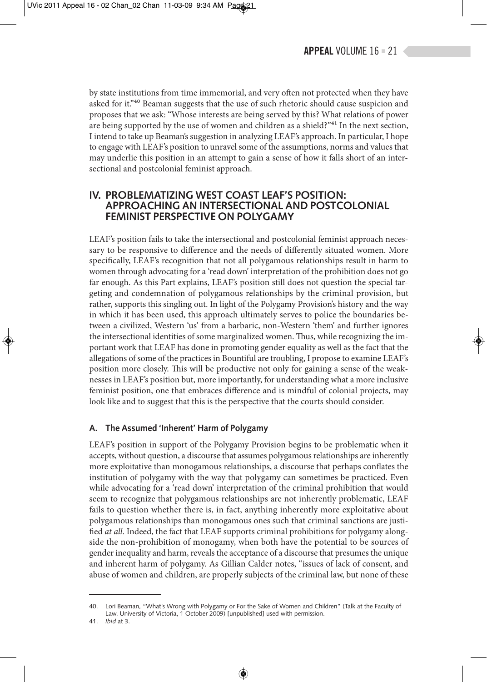by state institutions from time immemorial, and very often not protected when they have asked for it."<sup>40</sup> Beaman suggests that the use of such rhetoric should cause suspicion and proposes that we ask: "Whose interests are being served by this? What relations of power are being supported by the use of women and children as a shield?"<sup>41</sup> In the next section, I intend to take up Beaman's suggestion in analyzing LEAF's approach. In particular, I hope to engage with LEAF's position to unravel some of the assumptions, norms and values that may underlie this position in an attempt to gain a sense of how it falls short of an intersectional and postcolonial feminist approach.

### **IV. PROBLEMATIZING WEST COAST LEAF'S POSITION: APPROACHING AN INTERSECTIONAL AND POSTCOLONIAL FEMINIST PERSPECTIVE ON POLYGAMY**

LEAF's position fails to take the intersectional and postcolonial feminist approach necessary to be responsive to difference and the needs of differently situated women. More specifically, LEAF's recognition that not all polygamous relationships result in harm to women through advocating for a 'read down' interpretation of the prohibition does not go far enough. As this Part explains, LEAF's position still does not question the special targeting and condemnation of polygamous relationships by the criminal provision, but rather, supports this singling out. In light of the Polygamy Provision's history and the way in which it has been used, this approach ultimately serves to police the boundaries between a civilized, Western 'us' from a barbaric, non-Western 'them' and further ignores the intersectional identities of some marginalized women. Thus, while recognizing the important work that LEAF has done in promoting gender equality as well as the fact that the allegations of some of the practices in Bountiful are troubling, I propose to examine LEAF's position more closely. This will be productive not only for gaining a sense of the weaknesses in LEAF's position but, more importantly, for understanding what a more inclusive feminist position, one that embraces difference and is mindful of colonial projects, may look like and to suggest that this is the perspective that the courts should consider.

#### **A. The Assumed 'Inherent' Harm of Polygamy**

LEAF's position in support of the Polygamy Provision begins to be problematic when it accepts, without question, a discourse that assumes polygamous relationships are inherently more exploitative than monogamous relationships, a discourse that perhaps conflates the institution of polygamy with the way that polygamy can sometimes be practiced. Even while advocating for a 'read down' interpretation of the criminal prohibition that would seem to recognize that polygamous relationships are not inherently problematic, LEAF fails to question whether there is, in fact, anything inherently more exploitative about polygamous relationships than monogamous ones such that criminal sanctions are justified *at all*. Indeed, the fact that LEAF supports criminal prohibitions for polygamy alongside the non-prohibition of monogamy, when both have the potential to be sources of gender inequality and harm, reveals the acceptance of a discourse that presumes the unique and inherent harm of polygamy. As Gillian Calder notes, "issues of lack of consent, and abuse of women and children, are properly subjects of the criminal law, but none of these

<sup>40.</sup> Lori Beaman, "What's Wrong with Polygamy or For the Sake of Women and Children" (Talk at the Faculty of Law, University of Victoria, 1 October 2009) [unpublished] used with permission.

<sup>41.</sup> *Ibid* at 3.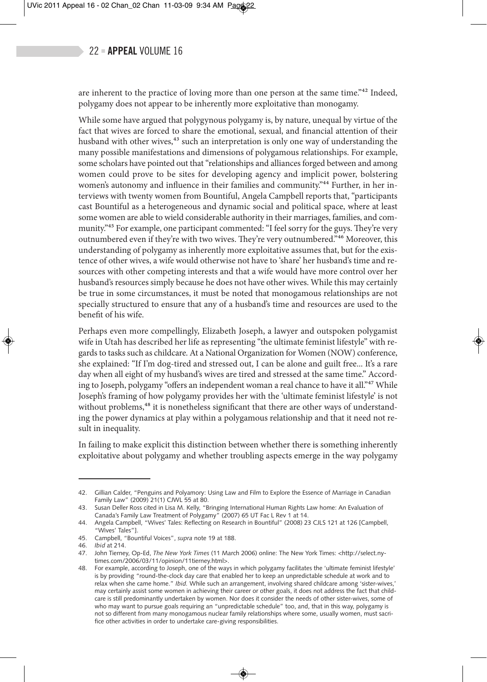### $22$  = APPEAL VOLUME 16

are inherent to the practice of loving more than one person at the same time."42 Indeed, polygamy does not appear to be inherently more exploitative than monogamy.

While some have argued that polygynous polygamy is, by nature, unequal by virtue of the fact that wives are forced to share the emotional, sexual, and financial attention of their husband with other wives,<sup>43</sup> such an interpretation is only one way of understanding the many possible manifestations and dimensions of polygamous relationships. For example, some scholars have pointed out that "relationships and alliances forged between and among women could prove to be sites for developing agency and implicit power, bolstering women's autonomy and influence in their families and community."<sup>44</sup> Further, in her interviews with twenty women from Bountiful, Angela Campbell reports that, "participants cast Bountiful as a heterogeneous and dynamic social and political space, where at least some women are able to wield considerable authority in their marriages, families, and community."<sup>45</sup> For example, one participant commented: "I feel sorry for the guys. They're very outnumbered even if they're with two wives. They're very outnumbered."46 Moreover, this understanding of polygamy as inherently more exploitative assumes that, but for the existence of other wives, a wife would otherwise not have to 'share' her husband's time and resources with other competing interests and that a wife would have more control over her husband's resources simply because he does not have other wives. While this may certainly be true in some circumstances, it must be noted that monogamous relationships are not specially structured to ensure that any of a husband's time and resources are used to the benefit of his wife.

Perhaps even more compellingly, Elizabeth Joseph, a lawyer and outspoken polygamist wife in Utah has described her life as representing "the ultimate feminist lifestyle" with regards to tasks such as childcare. At a National Organization for Women (NOW) conference, she explained: "If I'm dog-tired and stressed out, I can be alone and guilt free... It's a rare day when all eight of my husband's wives are tired and stressed at the same time." According to Joseph, polygamy "offers an independent woman a real chance to have it all."47 While Joseph's framing of how polygamy provides her with the 'ultimate feminist lifestyle' is not without problems,<sup>48</sup> it is nonetheless significant that there are other ways of understanding the power dynamics at play within a polygamous relationship and that it need not result in inequality.

In failing to make explicit this distinction between whether there is something inherently exploitative about polygamy and whether troubling aspects emerge in the way polygamy

<sup>42.</sup> Gillian Calder, "Penguins and Polyamory: Using Law and Film to Explore the Essence of Marriage in Canadian Family Law" (2009) 21(1) CJWL 55 at 80.

<sup>43.</sup> Susan Deller Ross cited in Lisa M. Kelly, "Bringing International Human Rights Law home: An Evaluation of Canada's Family Law Treatment of Polygamy" (2007) 65 UT Fac L Rev 1 at 14.

<sup>44.</sup> Angela Campbell, "Wives' Tales: Reflecting on Research in Bountiful" (2008) 23 CJLS 121 at 126 [Campbell, "Wives' Tales"].

<sup>45.</sup> Campbell, "Bountiful Voices", *supra* note 19 at 188.

<sup>46.</sup> *Ibid* at 214.

<sup>47.</sup> John Tierney, Op-Ed, *The New York Times* (11 March 2006) online: The New York Times: <http://select.nytimes.com/2006/03/11/opinion/11tierney.html>.

<sup>48.</sup> For example, according to Joseph, one of the ways in which polygamy facilitates the 'ultimate feminist lifestyle' is by providing "round-the-clock day care that enabled her to keep an unpredictable schedule at work and to relax when she came home." *Ibid.* While such an arrangement, involving shared childcare among 'sister-wives,' may certainly assist some women in achieving their career or other goals, it does not address the fact that childcare is still predominantly undertaken by women. Nor does it consider the needs of other sister-wives, some of who may want to pursue goals requiring an "unpredictable schedule" too, and, that in this way, polygamy is not so different from many monogamous nuclear family relationships where some, usually women, must sacrifice other activities in order to undertake care-giving responsibilities.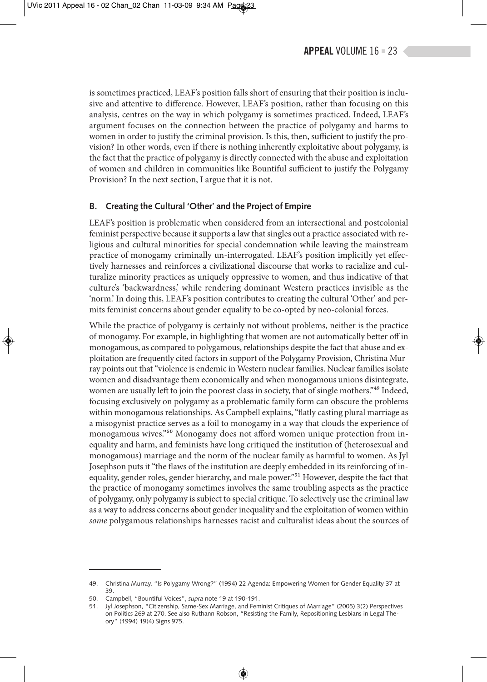is sometimes practiced, LEAF's position falls short of ensuring that their position is inclusive and attentive to difference. However, LEAF's position, rather than focusing on this analysis, centres on the way in which polygamy is sometimes practiced. Indeed, LEAF's argument focuses on the connection between the practice of polygamy and harms to women in order to justify the criminal provision. Is this, then, sufficient to justify the provision? In other words, even if there is nothing inherently exploitative about polygamy, is the fact that the practice of polygamy is directly connected with the abuse and exploitation of women and children in communities like Bountiful sufficient to justify the Polygamy Provision? In the next section, I argue that it is not.

#### **B. Creating the Cultural 'Other' and the Project of Empire**

LEAF's position is problematic when considered from an intersectional and postcolonial feminist perspective because it supports a law that singles out a practice associated with religious and cultural minorities for special condemnation while leaving the mainstream practice of monogamy criminally un-interrogated. LEAF's position implicitly yet effectively harnesses and reinforces a civilizational discourse that works to racialize and culturalize minority practices as uniquely oppressive to women, and thus indicative of that culture's 'backwardness,' while rendering dominant Western practices invisible as the 'norm.' In doing this, LEAF's position contributes to creating the cultural 'Other' and permits feminist concerns about gender equality to be co-opted by neo-colonial forces.

While the practice of polygamy is certainly not without problems, neither is the practice of monogamy. For example, in highlighting that women are not automatically better off in monogamous, as compared to polygamous, relationships despite the fact that abuse and exploitation are frequently cited factors in support of the Polygamy Provision, Christina Murray points out that "violence is endemic in Western nuclear families. Nuclear families isolate women and disadvantage them economically and when monogamous unions disintegrate, women are usually left to join the poorest class in society, that of single mothers."<sup>49</sup> Indeed, focusing exclusively on polygamy as a problematic family form can obscure the problems within monogamous relationships. As Campbell explains, "flatly casting plural marriage as a misogynist practice serves as a foil to monogamy in a way that clouds the experience of monogamous wives."50 Monogamy does not afford women unique protection from inequality and harm, and feminists have long critiqued the institution of (heterosexual and monogamous) marriage and the norm of the nuclear family as harmful to women. As Jyl Josephson puts it "the flaws of the institution are deeply embedded in its reinforcing of inequality, gender roles, gender hierarchy, and male power."<sup>51</sup> However, despite the fact that the practice of monogamy sometimes involves the same troubling aspects as the practice of polygamy, only polygamy is subject to special critique. To selectively use the criminal law as a way to address concerns about gender inequality and the exploitation of women within *some* polygamous relationships harnesses racist and culturalist ideas about the sources of

<sup>49.</sup> Christina Murray, "Is Polygamy Wrong?" (1994) 22 Agenda: Empowering Women for Gender Equality 37 at 39.

<sup>50.</sup> Campbell, "Bountiful Voices", *supra* note 19 at 190-191.

<sup>51.</sup> Jyl Josephson, "Citizenship, Same-Sex Marriage, and Feminist Critiques of Marriage" (2005) 3(2) Perspectives on Politics 269 at 270. See also Ruthann Robson, "Resisting the Family, Repositioning Lesbians in Legal Theory" (1994) 19(4) Signs 975.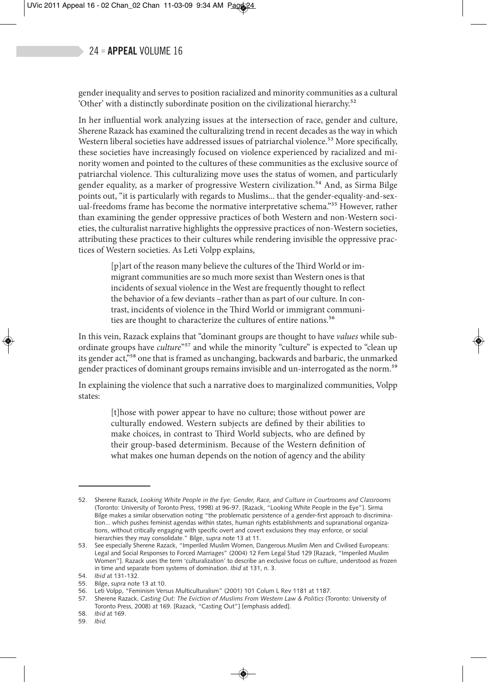# $24$  = APPEAL VOLUME 16

gender inequality and serves to position racialized and minority communities as a cultural 'Other' with a distinctly subordinate position on the civilizational hierarchy.52

In her influential work analyzing issues at the intersection of race, gender and culture, Sherene Razack has examined the culturalizing trend in recent decades as the way in which Western liberal societies have addressed issues of patriarchal violence.<sup>53</sup> More specifically, these societies have increasingly focused on violence experienced by racialized and minority women and pointed to the cultures of these communities as the exclusive source of patriarchal violence. This culturalizing move uses the status of women, and particularly gender equality, as a marker of progressive Western civilization.<sup>54</sup> And, as Sirma Bilge points out, "it is particularly with regards to Muslims... that the gender-equality-and-sexual-freedoms frame has become the normative interpretative schema."55 However, rather than examining the gender oppressive practices of both Western and non-Western societies, the culturalist narrative highlights the oppressive practices of non-Western societies, attributing these practices to their cultures while rendering invisible the oppressive practices of Western societies. As Leti Volpp explains,

[p]art of the reason many believe the cultures of the Third World or immigrant communities are so much more sexist than Western ones is that incidents of sexual violence in the West are frequently thought to reflect the behavior of a few deviants –rather than as part of our culture. In contrast, incidents of violence in the Third World or immigrant communities are thought to characterize the cultures of entire nations.<sup>56</sup>

In this vein, Razack explains that "dominant groups are thought to have *values* while subordinate groups have *culture*"<sup>57</sup> and while the minority "culture" is expected to "clean up its gender act,"58 one that is framed as unchanging, backwards and barbaric, the unmarked gender practices of dominant groups remains invisible and un-interrogated as the norm.<sup>59</sup>

In explaining the violence that such a narrative does to marginalized communities, Volpp states:

[t]hose with power appear to have no culture; those without power are culturally endowed. Western subjects are defined by their abilities to make choices, in contrast to Third World subjects, who are defined by their group-based determinism. Because of the Western definition of what makes one human depends on the notion of agency and the ability

<sup>52.</sup> Sherene Razack*, Looking White People in the Eye: Gender, Race, and Culture in Courtrooms and Classrooms* (Toronto: University of Toronto Press, 1998) at 96-97. [Razack, "Looking White People in the Eye"]. Sirma Bilge makes a similar observation noting "the problematic persistence of a gender-first approach to discrimination... which pushes feminist agendas within states, human rights establishments and supranational organizations, without critically engaging with specific overt and covert exclusions they may enforce, or social hierarchies they may consolidate." Bilge, *supra* note 13 at 11.

<sup>53.</sup> See especially Sherene Razack, "Imperiled Muslim Women, Dangerous Muslim Men and Civilised Europeans: Legal and Social Responses to Forced Marriages" (2004) 12 Fem Legal Stud 129 [Razack, "Imperiled Muslim Women"]. Razack uses the term 'culturalization' to describe an exclusive focus on culture, understood as frozen in time and separate from systems of domination. *Ibid* at 131, n. 3.

<sup>54.</sup> *Ibid* at 131-132.

<sup>55.</sup> Bilge, *supra* note 13 at 10.

<sup>56.</sup> Leti Volpp, "Feminism Versus Multiculturalism" (2001) 101 Colum L Rev 1181 at 1187.

<sup>57.</sup> Sherene Razack, *Casting Out: The Eviction of Muslims From Western Law & Politics* (Toronto: University of Toronto Press, 2008) at 169. [Razack, "Casting Out"] [emphasis added].

<sup>58.</sup> *Ibid* at 169.

<sup>59.</sup> *Ibid.*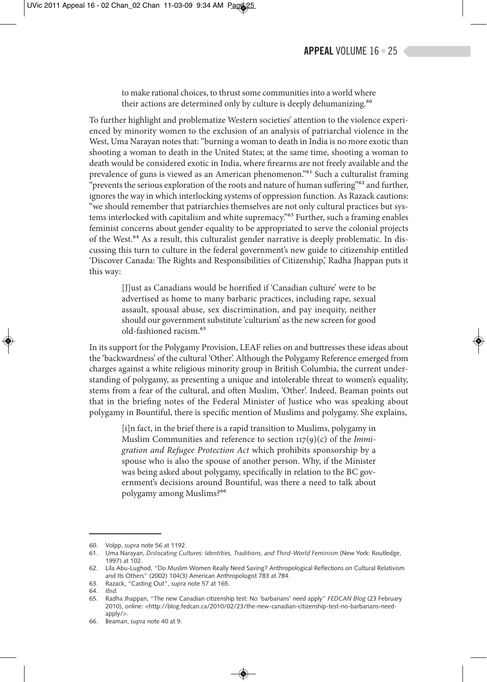to make rational choices, to thrust some communities into a world where their actions are determined only by culture is deeply dehumanizing.<sup>60</sup>

To further highlight and problematize Western societies' attention to the violence experienced by minority women to the exclusion of an analysis of patriarchal violence in the West, Uma Narayan notes that: "burning a woman to death in India is no more exotic than shooting a woman to death in the United States; at the same time, shooting a woman to death would be considered exotic in India, where firearms are not freely available and the prevalence of guns is viewed as an American phenomenon."61 Such a culturalist framing "prevents the serious exploration of the roots and nature of human suffering"<sup>62</sup> and further, ignores the way in which interlocking systems of oppression function. As Razack cautions: "we should remember that patriarchies themselves are not only cultural practices but systems interlocked with capitalism and white supremacy.<sup>"63</sup> Further, such a framing enables feminist concerns about gender equality to be appropriated to serve the colonial projects of the West.64 As a result, this culturalist gender narrative is deeply problematic. In discussing this turn to culture in the federal government's new guide to citizenship entitled 'Discover Canada: The Rights and Responsibilities of Citizenship,' Radha Jhappan puts it this way:

> [J]ust as Canadians would be horrified if 'Canadian culture' were to be advertised as home to many barbaric practices, including rape, sexual assault, spousal abuse, sex discrimination, and pay inequity, neither should our government substitute 'culturism' as the new screen for good old-fashioned racism.65

In its support for the Polygamy Provision, LEAF relies on and buttresses these ideas about the 'backwardness' of the cultural 'Other'. Although the Polygamy Reference emerged from charges against a white religious minority group in British Columbia, the current understanding of polygamy, as presenting a unique and intolerable threat to women's equality, stems from a fear of the cultural, and often Muslim, 'Other'. Indeed, Beaman points out that in the briefing notes of the Federal Minister of Justice who was speaking about polygamy in Bountiful, there is specific mention of Muslims and polygamy. She explains,

> [i]n fact, in the brief there is a rapid transition to Muslims, polygamy in Muslim Communities and reference to section 117(9)(c) of the *Immigration and Refugee Protection Act* which prohibits sponsorship by a spouse who is also the spouse of another person. Why, if the Minister was being asked about polygamy, specifically in relation to the BC government's decisions around Bountiful, was there a need to talk about polygamy among Muslims?66

<sup>60.</sup> Volpp, *supra* note 56 at 1192.

<sup>61.</sup> Uma Narayan, *Dislocating Cultures: Identities, Traditions, and Third-World Feminism* (New York: Routledge, 1997) at 102.

<sup>62.</sup> Lila Abu-Lughod, "Do Muslim Women Really Need Saving? Anthropological Reflections on Cultural Relativism and Its Others" (2002) 104(3) American Anthropologist 783 at 784.

<sup>63.</sup> Razack, "Casting Out", *supra* note 57 at 165.

<sup>64.</sup> *Ibid.*

<sup>65.</sup> Radha Jhappan, "The new Canadian citizenship test: No 'barbarians' need apply" *FEDCAN Blog* (23 February 2010), online: <http://blog.fedcan.ca/2010/02/23/the-new-canadian-citizenship-test-no-barbarians-needapply/>.

<sup>66.</sup> Beaman, *supra* note 40 at 9.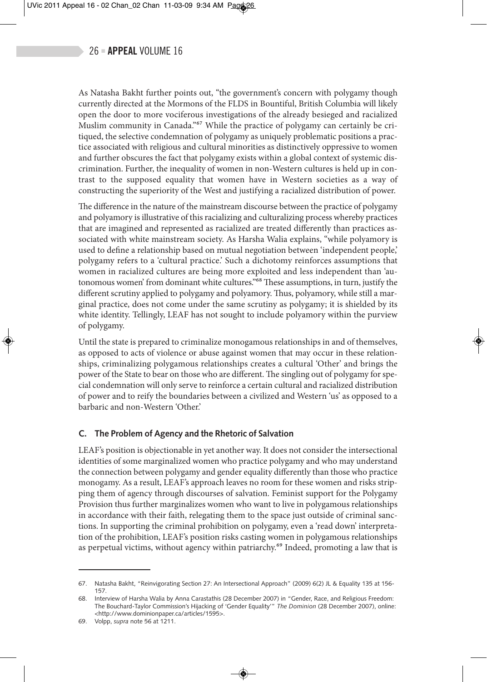As Natasha Bakht further points out, "the government's concern with polygamy though currently directed at the Mormons of the FLDS in Bountiful, British Columbia will likely open the door to more vociferous investigations of the already besieged and racialized Muslim community in Canada."<sup>67</sup> While the practice of polygamy can certainly be critiqued, the selective condemnation of polygamy as uniquely problematic positions a practice associated with religious and cultural minorities as distinctively oppressive to women and further obscures the fact that polygamy exists within a global context of systemic discrimination. Further, the inequality of women in non-Western cultures is held up in contrast to the supposed equality that women have in Western societies as a way of constructing the superiority of the West and justifying a racialized distribution of power.

The difference in the nature of the mainstream discourse between the practice of polygamy and polyamory is illustrative of this racializing and culturalizing process whereby practices that are imagined and represented as racialized are treated differently than practices associated with white mainstream society. As Harsha Walia explains, "while polyamory is used to define a relationship based on mutual negotiation between 'independent people,' polygamy refers to a 'cultural practice.' Such a dichotomy reinforces assumptions that women in racialized cultures are being more exploited and less independent than 'autonomous women' from dominant white cultures."68 These assumptions, in turn, justify the different scrutiny applied to polygamy and polyamory. Thus, polyamory, while still a marginal practice, does not come under the same scrutiny as polygamy; it is shielded by its white identity. Tellingly, LEAF has not sought to include polyamory within the purview of polygamy.

Until the state is prepared to criminalize monogamous relationships in and of themselves, as opposed to acts of violence or abuse against women that may occur in these relationships, criminalizing polygamous relationships creates a cultural 'Other' and brings the power of the State to bear on those who are different. The singling out of polygamy for special condemnation will only serve to reinforce a certain cultural and racialized distribution of power and to reify the boundaries between a civilized and Western 'us' as opposed to a barbaric and non-Western 'Other.'

### **C. The Problem of Agency and the Rhetoric of Salvation**

LEAF's position is objectionable in yet another way. It does not consider the intersectional identities of some marginalized women who practice polygamy and who may understand the connection between polygamy and gender equality differently than those who practice monogamy. As a result, LEAF's approach leaves no room for these women and risks stripping them of agency through discourses of salvation. Feminist support for the Polygamy Provision thus further marginalizes women who want to live in polygamous relationships in accordance with their faith, relegating them to the space just outside of criminal sanctions. In supporting the criminal prohibition on polygamy, even a 'read down' interpretation of the prohibition, LEAF's position risks casting women in polygamous relationships as perpetual victims, without agency within patriarchy.<sup>69</sup> Indeed, promoting a law that is

<sup>67.</sup> Natasha Bakht, "Reinvigorating Section 27: An Intersectional Approach" (2009) 6(2) JL & Equality 135 at 156- 157.

<sup>68.</sup> Interview of Harsha Walia by Anna Carastathis (28 December 2007) in "Gender, Race, and Religious Freedom: The Bouchard-Taylor Commission's Hijacking of 'Gender Equality'" *The Dominion* (28 December 2007), online: <http://www.dominionpaper.ca/articles/1595>.

<sup>69.</sup> Volpp, *supra* note 56 at 1211.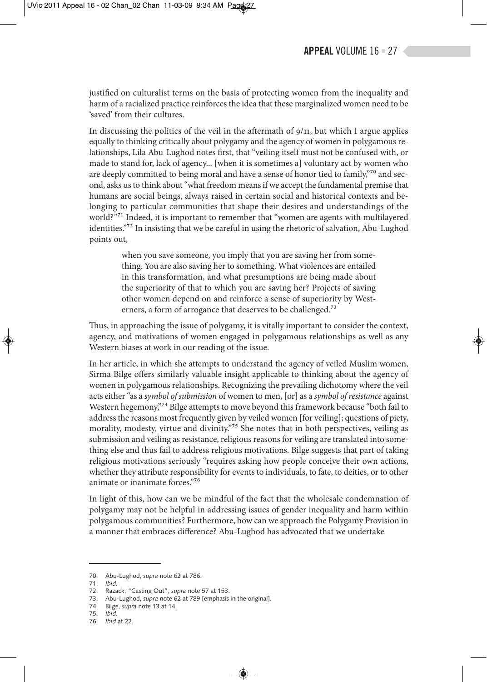justified on culturalist terms on the basis of protecting women from the inequality and harm of a racialized practice reinforces the idea that these marginalized women need to be 'saved' from their cultures.

In discussing the politics of the veil in the aftermath of  $9/11$ , but which I argue applies equally to thinking critically about polygamy and the agency of women in polygamous relationships, Lila Abu-Lughod notes first, that "veiling itself must not be confused with, or made to stand for, lack of agency... [when it is sometimes a] voluntary act by women who are deeply committed to being moral and have a sense of honor tied to family,<sup>"70</sup> and second, asks us to think about "what freedom means if we accept the fundamental premise that humans are social beings, always raised in certain social and historical contexts and belonging to particular communities that shape their desires and understandings of the world?"<sup>71</sup> Indeed, it is important to remember that "women are agents with multilayered identities."<sup>72</sup> In insisting that we be careful in using the rhetoric of salvation, Abu-Lughod points out,

> when you save someone, you imply that you are saving her from something. You are also saving her to something. What violences are entailed in this transformation, and what presumptions are being made about the superiority of that to which you are saving her? Projects of saving other women depend on and reinforce a sense of superiority by Westerners, a form of arrogance that deserves to be challenged.<sup>73</sup>

Thus, in approaching the issue of polygamy, it is vitally important to consider the context, agency, and motivations of women engaged in polygamous relationships as well as any Western biases at work in our reading of the issue.

In her article, in which she attempts to understand the agency of veiled Muslim women, Sirma Bilge offers similarly valuable insight applicable to thinking about the agency of women in polygamous relationships. Recognizing the prevailing dichotomy where the veil acts either "as a *symbol of submission* of women to men, [or] as a *symbol of resistance* against Western hegemony,"<sup>74</sup> Bilge attempts to move beyond this framework because "both fail to address the reasons most frequently given by veiled women [for veiling]; questions of piety, morality, modesty, virtue and divinity."<sup>75</sup> She notes that in both perspectives, veiling as submission and veiling as resistance, religious reasons for veiling are translated into something else and thus fail to address religious motivations. Bilge suggests that part of taking religious motivations seriously "requires asking how people conceive their own actions, whether they attribute responsibility for events to individuals, to fate, to deities, or to other animate or inanimate forces."76

In light of this, how can we be mindful of the fact that the wholesale condemnation of polygamy may not be helpful in addressing issues of gender inequality and harm within polygamous communities? Furthermore, how can we approach the Polygamy Provision in a manner that embraces difference? Abu-Lughod has advocated that we undertake

<sup>70.</sup> Abu-Lughod, *supra* note 62 at 786.

<sup>71.</sup> *Ibid.*

<sup>72.</sup> Razack, "Casting Out", *supra* note 57 at 153.

<sup>73.</sup> Abu-Lughod, *supra* note 62 at 789 [emphasis in the original].

<sup>74.</sup> Bilge, *supra* note 13 at 14.

<sup>75.</sup> *Ibid.*

<sup>76.</sup> *Ibid* at 22.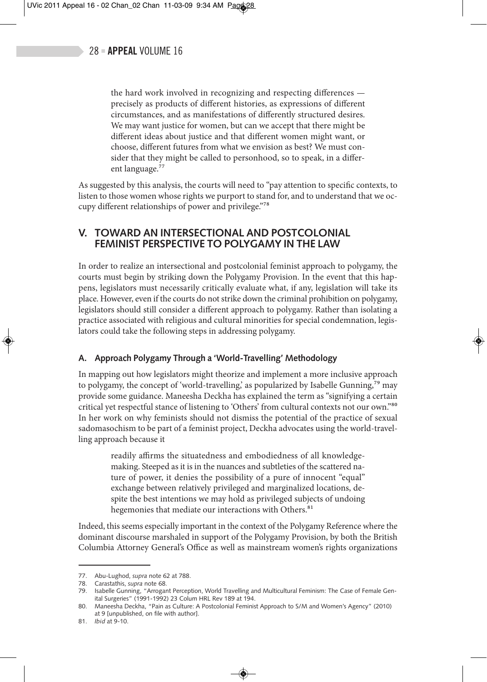the hard work involved in recognizing and respecting differences precisely as products of different histories, as expressions of different circumstances, and as manifestations of differently structured desires. We may want justice for women, but can we accept that there might be different ideas about justice and that different women might want, or choose, different futures from what we envision as best? We must consider that they might be called to personhood, so to speak, in a different language.<sup>77</sup>

As suggested by this analysis, the courts will need to "pay attention to specific contexts, to listen to those women whose rights we purport to stand for, and to understand that we occupy different relationships of power and privilege."78

# **V. TOWARD AN INTERSECTIONAL AND POSTCOLONIAL FEMINIST PERSPECTIVE TO POLYGAMY IN THE LAW**

In order to realize an intersectional and postcolonial feminist approach to polygamy, the courts must begin by striking down the Polygamy Provision. In the event that this happens, legislators must necessarily critically evaluate what, if any, legislation will take its place. However, even if the courts do not strike down the criminal prohibition on polygamy, legislators should still consider a different approach to polygamy. Rather than isolating a practice associated with religious and cultural minorities for special condemnation, legislators could take the following steps in addressing polygamy.

### **A. Approach Polygamy Through a 'World-Travelling' Methodology**

In mapping out how legislators might theorize and implement a more inclusive approach to polygamy, the concept of 'world-travelling,' as popularized by Isabelle Gunning,<sup>79</sup> may provide some guidance. Maneesha Deckha has explained the term as "signifying a certain critical yet respectful stance of listening to 'Others' from cultural contexts not our own."80 In her work on why feminists should not dismiss the potential of the practice of sexual sadomasochism to be part of a feminist project, Deckha advocates using the world-travelling approach because it

readily affirms the situatedness and embodiedness of all knowledgemaking. Steeped as it is in the nuances and subtleties of the scattered nature of power, it denies the possibility of a pure of innocent "equal" exchange between relatively privileged and marginalized locations, despite the best intentions we may hold as privileged subjects of undoing hegemonies that mediate our interactions with Others.<sup>81</sup>

Indeed, this seems especially important in the context of the Polygamy Reference where the dominant discourse marshaled in support of the Polygamy Provision, by both the British Columbia Attorney General's Office as well as mainstream women's rights organizations

<sup>77.</sup> Abu-Lughod, *supra* note 62 at 788.

<sup>78.</sup> Carastathis, *supra* note 68.

<sup>79.</sup> Isabelle Gunning, "Arrogant Perception, World Travelling and Multicultural Feminism: The Case of Female Genital Surgeries" (1991-1992) 23 Colum HRL Rev 189 at 194.

<sup>80.</sup> Maneesha Deckha, "Pain as Culture: A Postcolonial Feminist Approach to S/M and Women's Agency" (2010) at 9 [unpublished, on file with author].

<sup>81.</sup> *Ibid* at 9-10.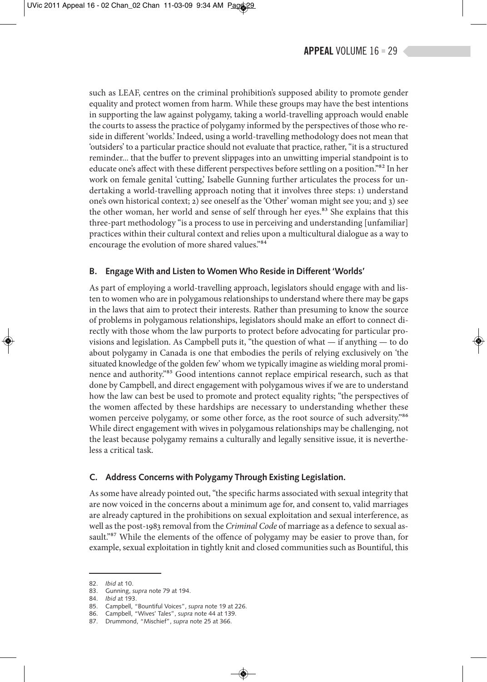such as LEAF, centres on the criminal prohibition's supposed ability to promote gender equality and protect women from harm. While these groups may have the best intentions in supporting the law against polygamy, taking a world-travelling approach would enable the courts to assess the practice of polygamy informed by the perspectives of those who reside in different 'worlds.' Indeed, using a world-travelling methodology does not mean that 'outsiders' to a particular practice should not evaluate that practice, rather, "it is a structured reminder... that the buffer to prevent slippages into an unwitting imperial standpoint is to educate one's affect with these different perspectives before settling on a position."82 In her work on female genital 'cutting,' Isabelle Gunning further articulates the process for undertaking a world-travelling approach noting that it involves three steps: 1) understand one's own historical context; 2) see oneself as the 'Other' woman might see you; and 3) see the other woman, her world and sense of self through her eyes.<sup>83</sup> She explains that this three-part methodology "is a process to use in perceiving and understanding [unfamiliar] practices within their cultural context and relies upon a multicultural dialogue as a way to encourage the evolution of more shared values."84

#### **B. Engage With and Listen to Women Who Reside in Different 'Worlds'**

As part of employing a world-travelling approach, legislators should engage with and listen to women who are in polygamous relationships to understand where there may be gaps in the laws that aim to protect their interests. Rather than presuming to know the source of problems in polygamous relationships, legislators should make an effort to connect directly with those whom the law purports to protect before advocating for particular provisions and legislation. As Campbell puts it, "the question of what  $-$  if anything  $-$  to do about polygamy in Canada is one that embodies the perils of relying exclusively on 'the situated knowledge of the golden few' whom we typically imagine as wielding moral prominence and authority."85 Good intentions cannot replace empirical research, such as that done by Campbell, and direct engagement with polygamous wives if we are to understand how the law can best be used to promote and protect equality rights; "the perspectives of the women affected by these hardships are necessary to understanding whether these women perceive polygamy, or some other force, as the root source of such adversity."<sup>86</sup> While direct engagement with wives in polygamous relationships may be challenging, not the least because polygamy remains a culturally and legally sensitive issue, it is nevertheless a critical task.

#### **C. Address Concerns with Polygamy Through Existing Legislation.**

As some have already pointed out, "the specific harms associated with sexual integrity that are now voiced in the concerns about a minimum age for, and consent to, valid marriages are already captured in the prohibitions on sexual exploitation and sexual interference, as well as the post-1983 removal from the *Criminal Code* of marriage as a defence to sexual assault."87 While the elements of the offence of polygamy may be easier to prove than, for example, sexual exploitation in tightly knit and closed communities such as Bountiful, this

<sup>82.</sup> *Ibid* at 10.

<sup>83.</sup> Gunning, *supra* note 79 at 194.

<sup>84.</sup> *Ibid* at 193.

<sup>85.</sup> Campbell, "Bountiful Voices", *supra* note 19 at 226.

<sup>86.</sup> Campbell, "Wives' Tales", *supra* note 44 at 139.

<sup>87.</sup> Drummond, "Mischief", *supra* note 25 at 366.